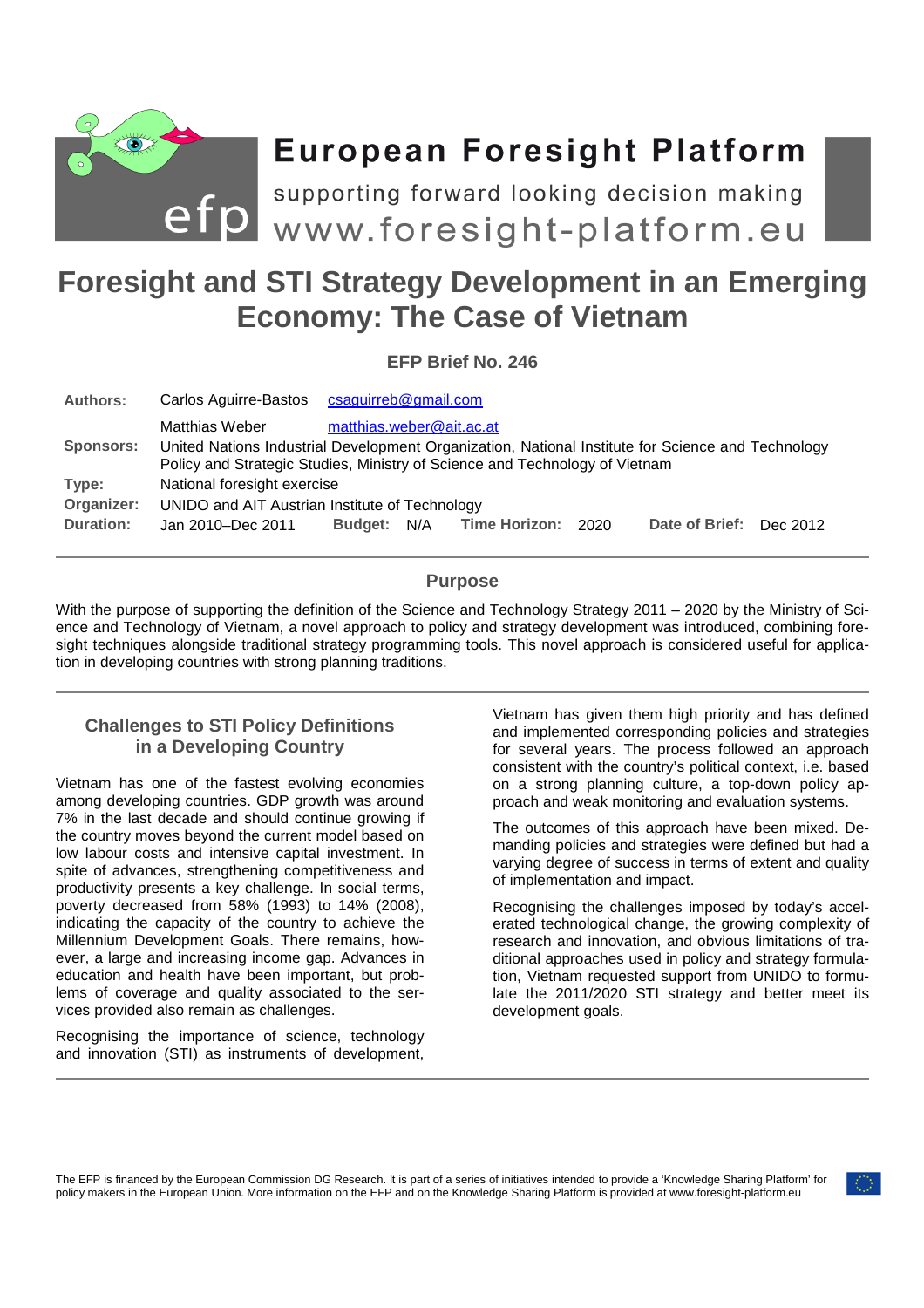

# **European Foresight Platform**

**Foresight and STI Strategy Development in an Emerging** supporting forward looking decision making

# **Economy: The Case of Vietnam**

**EFP Brief No. 246** 

| <b>Authors:</b>  | Carlos Aguirre-Bastos                                                                                                                                                            | csaguirreb@gmail.com     |     |               |      |                         |  |
|------------------|----------------------------------------------------------------------------------------------------------------------------------------------------------------------------------|--------------------------|-----|---------------|------|-------------------------|--|
|                  | Matthias Weber                                                                                                                                                                   | matthias.weber@ait.ac.at |     |               |      |                         |  |
| <b>Sponsors:</b> | United Nations Industrial Development Organization, National Institute for Science and Technology<br>Policy and Strategic Studies, Ministry of Science and Technology of Vietnam |                          |     |               |      |                         |  |
| Type:            | National foresight exercise                                                                                                                                                      |                          |     |               |      |                         |  |
| Organizer:       | UNIDO and AIT Austrian Institute of Technology                                                                                                                                   |                          |     |               |      |                         |  |
| <b>Duration:</b> | Jan 2010–Dec 2011                                                                                                                                                                | <b>Budget:</b>           | N/A | Time Horizon: | 2020 | Date of Brief: Dec 2012 |  |

# **Purpose**

With the purpose of supporting the definition of the Science and Technology Strategy 2011 – 2020 by the Ministry of Science and Technology of Vietnam, a novel approach to policy and strategy development was introduced, combining foresight techniques alongside traditional strategy programming tools. This novel approach is considered useful for application in developing countries with strong planning traditions.

# **Challenges to STI Policy Definitions in a Developing Country**

Vietnam has one of the fastest evolving economies among developing countries. GDP growth was around 7% in the last decade and should continue growing if the country moves beyond the current model based on low labour costs and intensive capital investment. In spite of advances, strengthening competitiveness and productivity presents a key challenge. In social terms, poverty decreased from 58% (1993) to 14% (2008), indicating the capacity of the country to achieve the Millennium Development Goals. There remains, however, a large and increasing income gap. Advances in education and health have been important, but problems of coverage and quality associated to the services provided also remain as challenges.

Recognising the importance of science, technology and innovation (STI) as instruments of development, Vietnam has given them high priority and has defined and implemented corresponding policies and strategies for several years. The process followed an approach consistent with the country's political context, i.e. based on a strong planning culture, a top-down policy approach and weak monitoring and evaluation systems.

The outcomes of this approach have been mixed. Demanding policies and strategies were defined but had a varying degree of success in terms of extent and quality of implementation and impact.

Recognising the challenges imposed by today's accelerated technological change, the growing complexity of research and innovation, and obvious limitations of traditional approaches used in policy and strategy formulation, Vietnam requested support from UNIDO to formulate the 2011/2020 STI strategy and better meet its development goals.

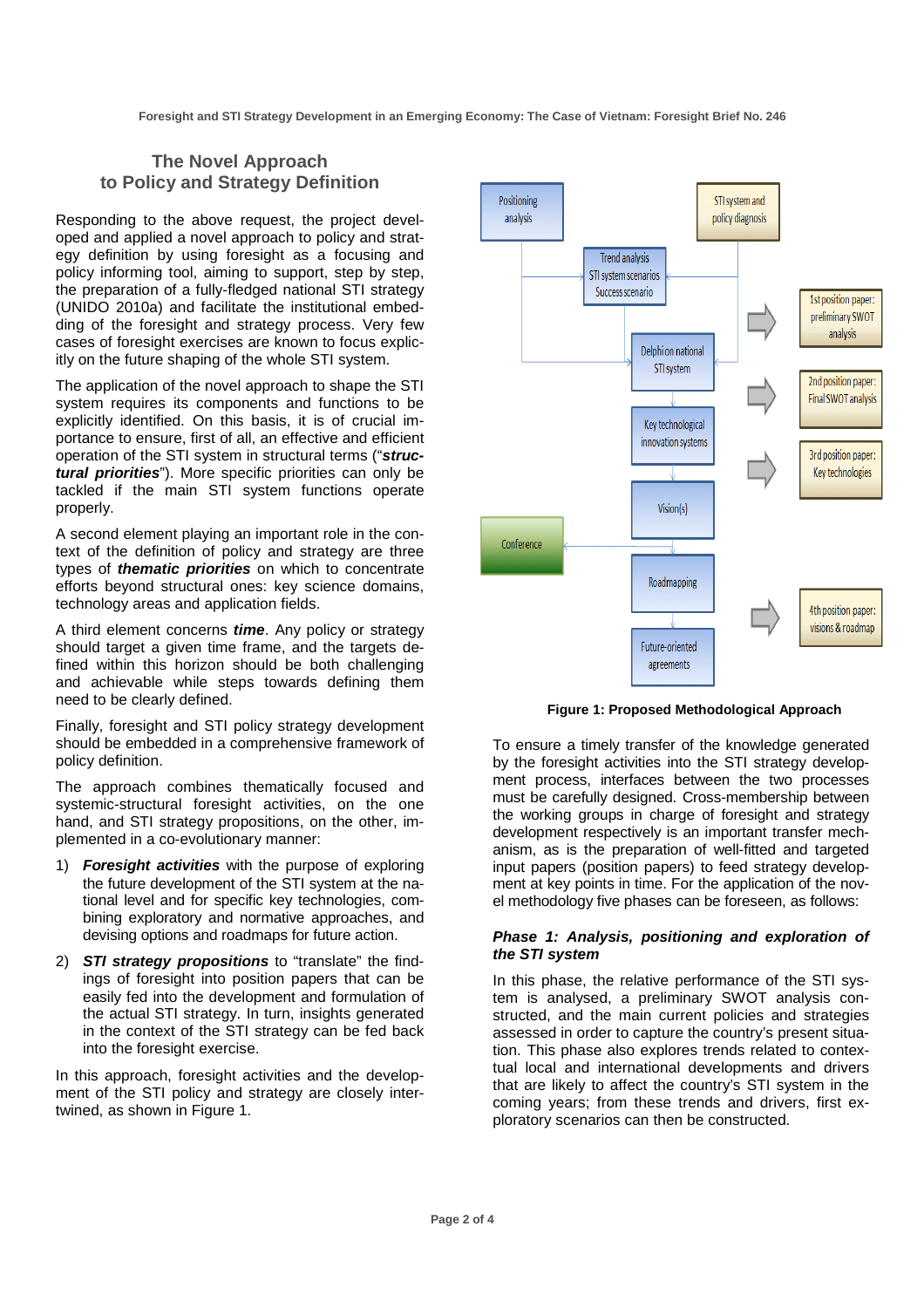# **The Novel Approach to Policy and Strategy Definition**

Responding to the above request, the project developed and applied a novel approach to policy and strategy definition by using foresight as a focusing and policy informing tool, aiming to support, step by step, the preparation of a fully-fledged national STI strategy (UNIDO 2010a) and facilitate the institutional embedding of the foresight and strategy process. Very few cases of foresight exercises are known to focus explicitly on the future shaping of the whole STI system.

The application of the novel approach to shape the STI system requires its components and functions to be explicitly identified. On this basis, it is of crucial importance to ensure, first of all, an effective and efficient operation of the STI system in structural terms ("**structural priorities**"). More specific priorities can only be tackled if the main STI system functions operate properly.

A second element playing an important role in the context of the definition of policy and strategy are three types of **thematic priorities** on which to concentrate efforts beyond structural ones: key science domains, technology areas and application fields.

A third element concerns **time**. Any policy or strategy should target a given time frame, and the targets defined within this horizon should be both challenging and achievable while steps towards defining them need to be clearly defined.

Finally, foresight and STI policy strategy development should be embedded in a comprehensive framework of policy definition.

The approach combines thematically focused and systemic-structural foresight activities, on the one hand, and STI strategy propositions, on the other, implemented in a co-evolutionary manner:

- 1) **Foresight activities** with the purpose of exploring the future development of the STI system at the national level and for specific key technologies, combining exploratory and normative approaches, and devising options and roadmaps for future action.
- 2) **STI strategy propositions** to "translate" the findings of foresight into position papers that can be easily fed into the development and formulation of the actual STI strategy. In turn, insights generated in the context of the STI strategy can be fed back into the foresight exercise.

In this approach, foresight activities and the development of the STI policy and strategy are closely intertwined, as shown in Figure 1.



**Figure 1: Proposed Methodological Approach** 

To ensure a timely transfer of the knowledge generated by the foresight activities into the STI strategy development process, interfaces between the two processes must be carefully designed. Cross-membership between the working groups in charge of foresight and strategy development respectively is an important transfer mechanism, as is the preparation of well-fitted and targeted input papers (position papers) to feed strategy development at key points in time. For the application of the novel methodology five phases can be foreseen, as follows:

#### **Phase 1: Analysis, positioning and exploration of the STI system**

In this phase, the relative performance of the STI system is analysed, a preliminary SWOT analysis constructed, and the main current policies and strategies assessed in order to capture the country's present situation. This phase also explores trends related to contextual local and international developments and drivers that are likely to affect the country's STI system in the coming years; from these trends and drivers, first exploratory scenarios can then be constructed.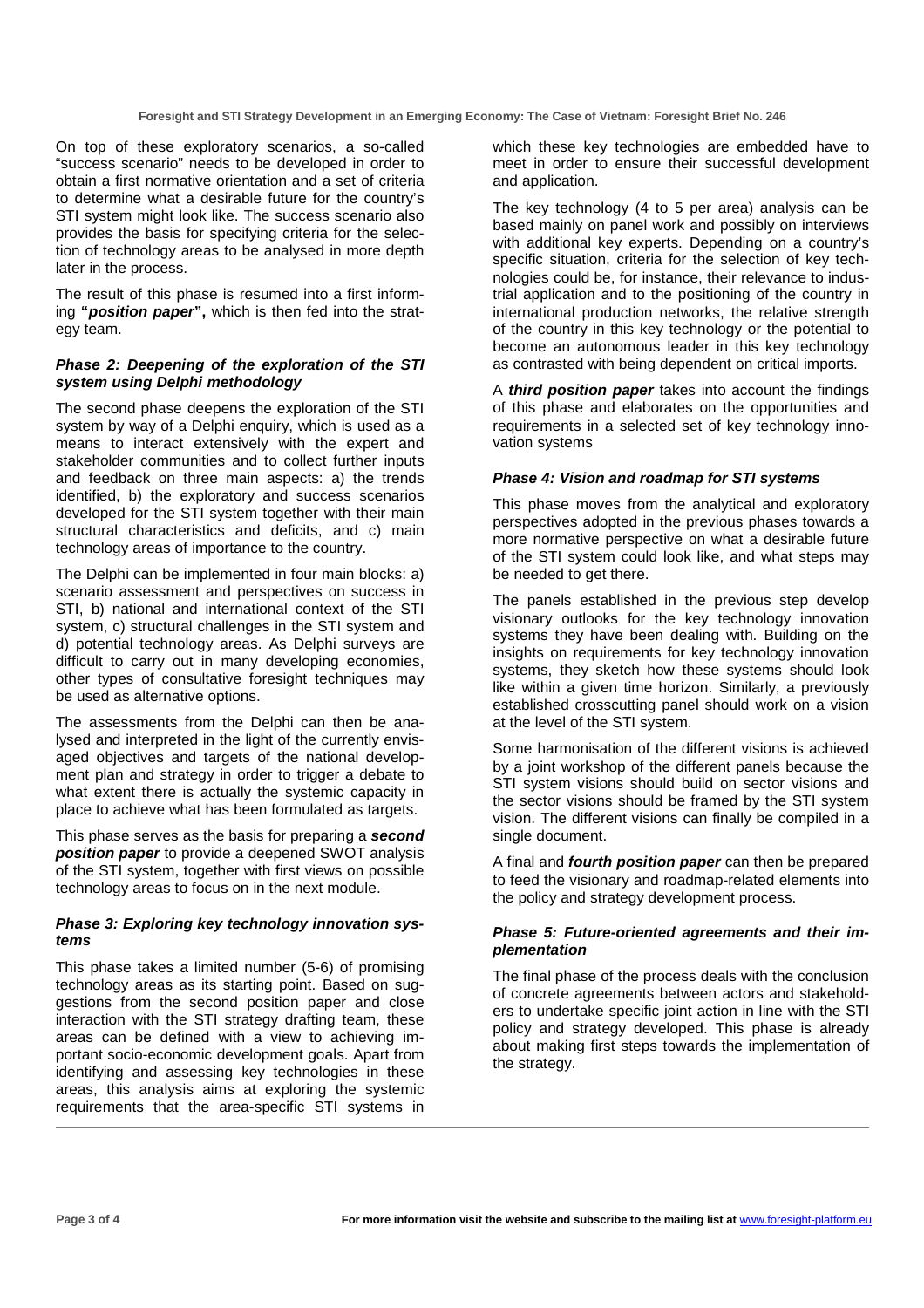On top of these exploratory scenarios, a so-called "success scenario" needs to be developed in order to obtain a first normative orientation and a set of criteria to determine what a desirable future for the country's STI system might look like. The success scenario also provides the basis for specifying criteria for the selection of technology areas to be analysed in more depth later in the process.

The result of this phase is resumed into a first informing **"position paper",** which is then fed into the strategy team.

#### **Phase 2: Deepening of the exploration of the STI system using Delphi methodology**

The second phase deepens the exploration of the STI system by way of a Delphi enquiry, which is used as a means to interact extensively with the expert and stakeholder communities and to collect further inputs and feedback on three main aspects: a) the trends identified, b) the exploratory and success scenarios developed for the STI system together with their main structural characteristics and deficits, and c) main technology areas of importance to the country.

The Delphi can be implemented in four main blocks: a) scenario assessment and perspectives on success in STI, b) national and international context of the STI system, c) structural challenges in the STI system and d) potential technology areas. As Delphi surveys are difficult to carry out in many developing economies, other types of consultative foresight techniques may be used as alternative options.

The assessments from the Delphi can then be analysed and interpreted in the light of the currently envisaged objectives and targets of the national development plan and strategy in order to trigger a debate to what extent there is actually the systemic capacity in place to achieve what has been formulated as targets.

This phase serves as the basis for preparing a **second position paper** to provide a deepened SWOT analysis of the STI system, together with first views on possible technology areas to focus on in the next module.

#### **Phase 3: Exploring key technology innovation systems**

This phase takes a limited number (5-6) of promising technology areas as its starting point. Based on suggestions from the second position paper and close interaction with the STI strategy drafting team, these areas can be defined with a view to achieving important socio-economic development goals. Apart from identifying and assessing key technologies in these areas, this analysis aims at exploring the systemic requirements that the area-specific STI systems in which these key technologies are embedded have to meet in order to ensure their successful development and application.

The key technology (4 to 5 per area) analysis can be based mainly on panel work and possibly on interviews with additional key experts. Depending on a country's specific situation, criteria for the selection of key technologies could be, for instance, their relevance to industrial application and to the positioning of the country in international production networks, the relative strength of the country in this key technology or the potential to become an autonomous leader in this key technology as contrasted with being dependent on critical imports.

A **third position paper** takes into account the findings of this phase and elaborates on the opportunities and requirements in a selected set of key technology innovation systems

#### **Phase 4: Vision and roadmap for STI systems**

This phase moves from the analytical and exploratory perspectives adopted in the previous phases towards a more normative perspective on what a desirable future of the STI system could look like, and what steps may be needed to get there.

The panels established in the previous step develop visionary outlooks for the key technology innovation systems they have been dealing with. Building on the insights on requirements for key technology innovation systems, they sketch how these systems should look like within a given time horizon. Similarly, a previously established crosscutting panel should work on a vision at the level of the STI system.

Some harmonisation of the different visions is achieved by a joint workshop of the different panels because the STI system visions should build on sector visions and the sector visions should be framed by the STI system vision. The different visions can finally be compiled in a single document.

A final and **fourth position paper** can then be prepared to feed the visionary and roadmap-related elements into the policy and strategy development process.

#### **Phase 5: Future-oriented agreements and their implementation**

The final phase of the process deals with the conclusion of concrete agreements between actors and stakeholders to undertake specific joint action in line with the STI policy and strategy developed. This phase is already about making first steps towards the implementation of the strategy.